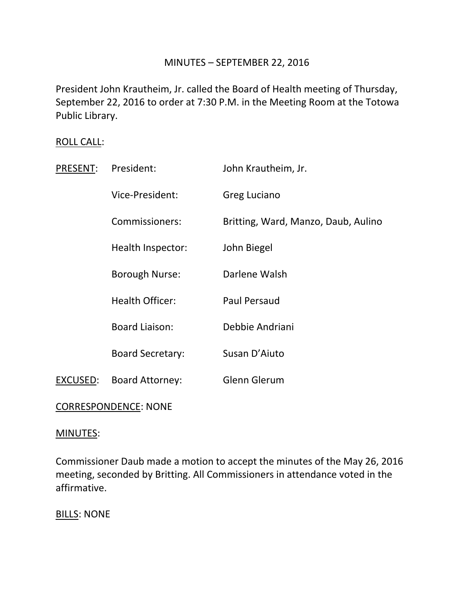# MINUTES – SEPTEMBER 22, 2016

President John Krautheim, Jr. called the Board of Health meeting of Thursday, September 22, 2016 to order at 7:30 P.M. in the Meeting Room at the Totowa Public Library.

## ROLL CALL:

| <b>PRESENT:</b>             | President:              | John Krautheim, Jr.                 |
|-----------------------------|-------------------------|-------------------------------------|
|                             | Vice-President:         | Greg Luciano                        |
|                             | Commissioners:          | Britting, Ward, Manzo, Daub, Aulino |
|                             | Health Inspector:       | John Biegel                         |
|                             | <b>Borough Nurse:</b>   | Darlene Walsh                       |
|                             | <b>Health Officer:</b>  | <b>Paul Persaud</b>                 |
|                             | <b>Board Liaison:</b>   | Debbie Andriani                     |
|                             | <b>Board Secretary:</b> | Susan D'Aiuto                       |
| EXCUSED:                    | <b>Board Attorney:</b>  | Glenn Glerum                        |
| <b>CORRESPONDENCE: NONE</b> |                         |                                     |

#### MINUTES:

Commissioner Daub made a motion to accept the minutes of the May 26, 2016 meeting, seconded by Britting. All Commissioners in attendance voted in the affirmative.

**BILLS: NONE**